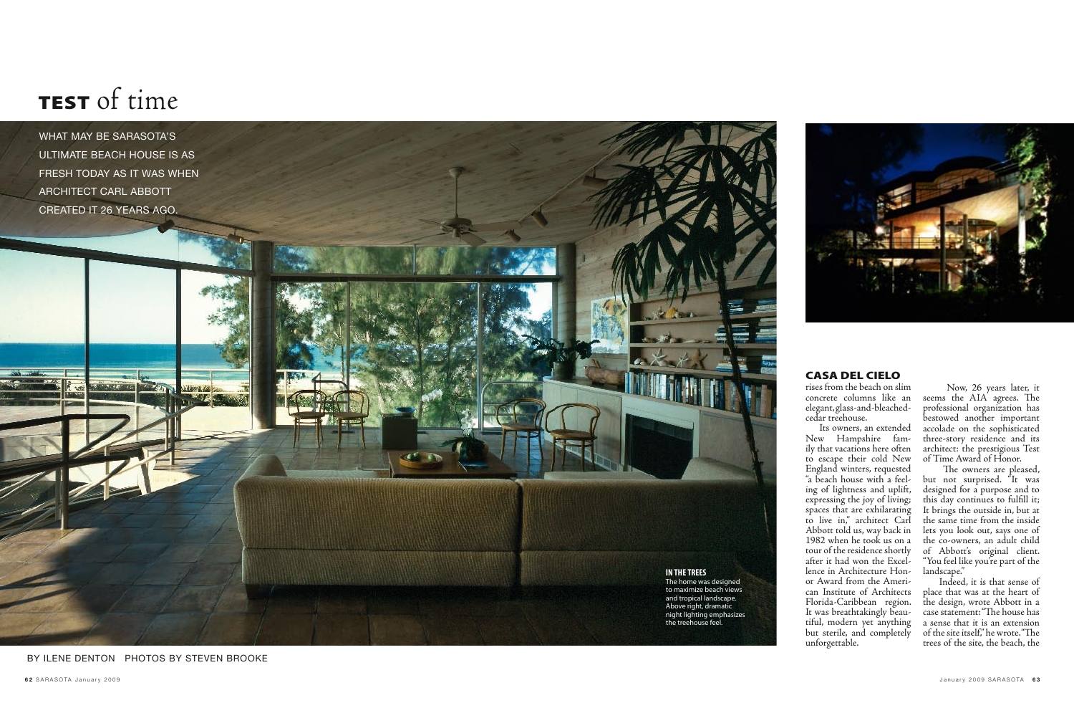rises from the beach on slim concrete columns like an elegant, glass-and-bleachedcedar treehouse.

 Its owners, an extended New Hampshire fam ily that vacations here often to escape their cold New England winters, requested "a beach house with a feel ing of lightness and uplift, expressing the joy of living; spaces that are exhilarating to live in," architect Carl Abbott told us, way back in 1982 when he took us on a tour of the residence shortly after it had won the Excel lence in Architecture Hon or Award from the Ameri can Institute of Architects Florida-Caribbean region. It was breathtakingly beau tiful, modern yet anything but sterile, and completely unforgettable.

 Now, 26 years later, it seems the AIA agrees. The professional organization has bestowed another important accolade on the sophisticated three-story residence and its architect: the prestigious Test of Time Award of Honor.

 The owners are pleased, but not surprised. "It was designed for a purpose and to this day continues to fulfill it; It brings the outside in, but at the same time from the inside lets you look out, says one of the co-owners, an adult child of Abbott's original client. "You feel like you're part of the landscape."

 Indeed, it is that sense of place that was at the heart of the design, wrote Abbott in a case statement: "The house has a sense that it is an extension of the site itself," he wrote. "The trees of the site, the beach, the

BY ILENE DENTON PHOTOS BY STEVEN BROOKE



WHAT MAY BE SARASOTA'S ULTIMATE BEACH HOUSE IS AS FRESH TODAY AS IT WAS WHEN ARCHITECT CARL ABBOTT CREATED IT 26 YEARS AGO.

# CASA DEL CIELO

# TEST of time

## **IN THE TREES**

The home was designed to maximize beach views and tropical landscape. Above right, dramatic night lighting emphasizes the treehouse feel.